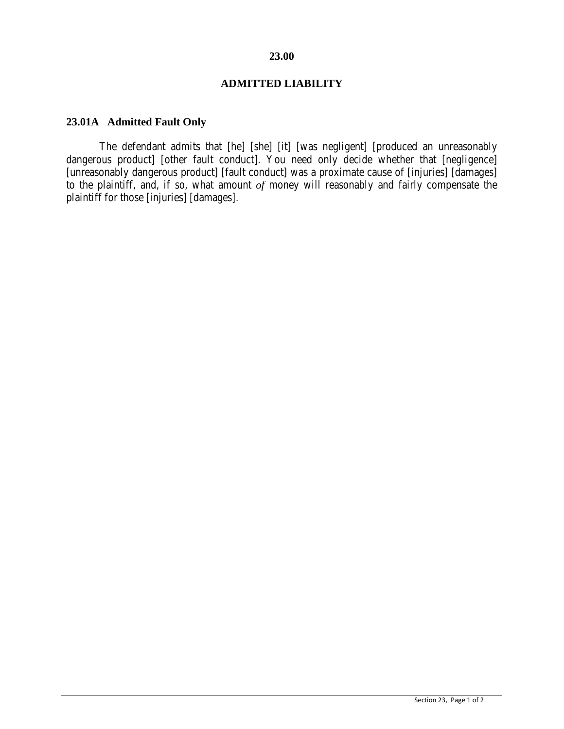# **23.00**

### **ADMITTED LIABILITY**

# **23.01A Admitted Fault Only**

The defendant admits that [he] [she] [it] [was negligent] [produced an unreasonably dangerous product] [other fault conduct]. You need only decide whether that [negligence] [unreasonably dangerous product] [fault conduct] was a proximate cause of [injuries] [damages] to the plaintiff, and, if so, what amount *of* money will reasonably and fairly compensate the plaintiff for those [injuries] [damages].